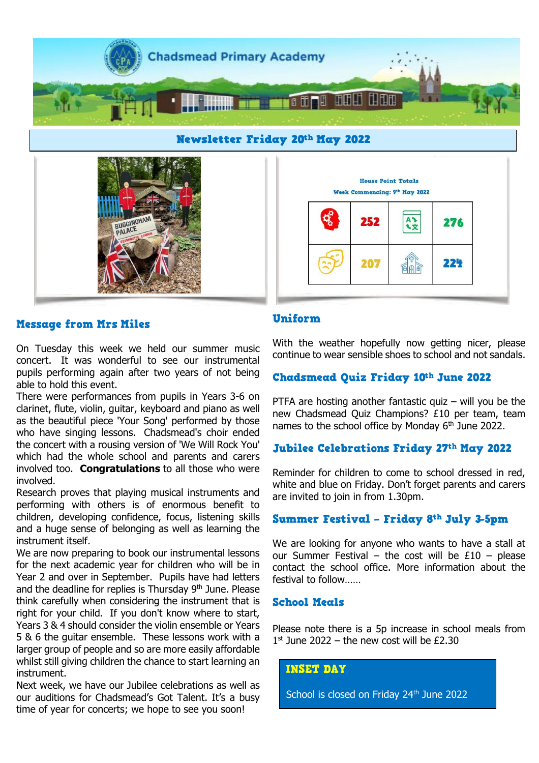





#### **Message from Mrs Miles**

On Tuesday this week we held our summer music concert. It was wonderful to see our instrumental pupils performing again after two years of not being able to hold this event.

There were performances from pupils in Years 3-6 on clarinet, flute, violin, guitar, keyboard and piano as well as the beautiful piece 'Your Song' performed by those who have singing lessons. Chadsmead's choir ended the concert with a rousing version of 'We Will Rock You' which had the whole school and parents and carers involved too. **Congratulations** to all those who were involved.

Research proves that playing musical instruments and performing with others is of enormous benefit to children, developing confidence, focus, listening skills and a huge sense of belonging as well as learning the instrument itself.

We are now preparing to book our instrumental lessons for the next academic year for children who will be in Year 2 and over in September. Pupils have had letters and the deadline for replies is Thursday  $9<sup>th</sup>$  June. Please think carefully when considering the instrument that is right for your child. If you don't know where to start, Years 3 & 4 should consider the violin ensemble or Years 5 & 6 the guitar ensemble. These lessons work with a larger group of people and so are more easily affordable whilst still giving children the chance to start learning an instrument.

Next week, we have our Jubilee celebrations as well as our auditions for Chadsmead's Got Talent. It's a busy time of year for concerts; we hope to see you soon!

# Uniform

With the weather hopefully now getting nicer, please continue to wear sensible shoes to school and not sandals.

# Chadsmead Quiz Friday 10th June 2022

PTFA are hosting another fantastic quiz  $-$  will you be the new Chadsmead Quiz Champions? £10 per team, team names to the school office by Monday 6<sup>th</sup> June 2022.

#### Jubilee Celebrations Friday 27th May 2022

Reminder for children to come to school dressed in red, white and blue on Friday. Don't forget parents and carers are invited to join in from 1.30pm.

#### Summer Festival - Friday 8th July 3-5pm

We are looking for anyone who wants to have a stall at our Summer Festival – the cost will be  $£10 -$  please contact the school office. More information about the festival to follow……

## **School Meals**

Please note there is a 5p increase in school meals from  $1<sup>st</sup>$  June 2022 – the new cost will be £2.30

#### **INSET DAY**

School is closed on Friday 24<sup>th</sup> June 2022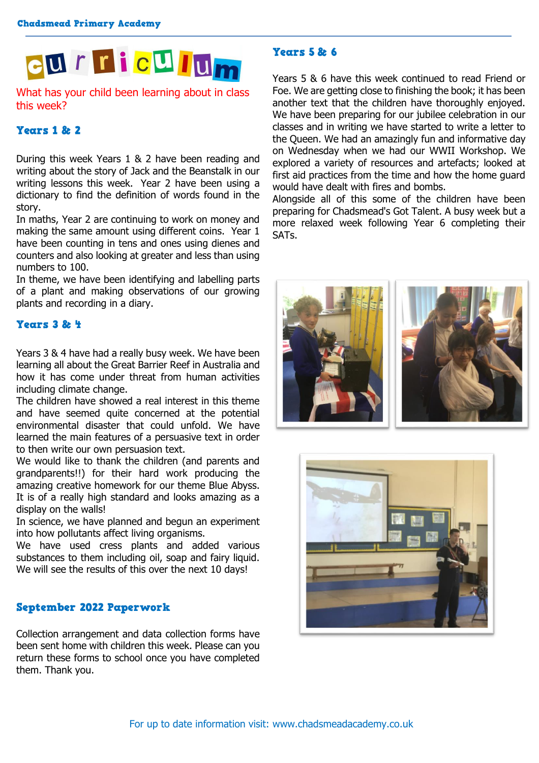![](_page_1_Picture_1.jpeg)

What has your child been learning about in class this week?

#### **Years 1 & 2**

During this week Years 1 & 2 have been reading and writing about the story of Jack and the Beanstalk in our writing lessons this week. Year 2 have been using a dictionary to find the definition of words found in the story.

In maths, Year 2 are continuing to work on money and making the same amount using different coins. Year 1 have been counting in tens and ones using dienes and counters and also looking at greater and less than using numbers to 100.

In theme, we have been identifying and labelling parts of a plant and making observations of our growing plants and recording in a diary.

# Years 3 & 4

Years 3 & 4 have had a really busy week. We have been learning all about the Great Barrier Reef in Australia and how it has come under threat from human activities including climate change.

The children have showed a real interest in this theme and have seemed quite concerned at the potential environmental disaster that could unfold. We have learned the main features of a persuasive text in order to then write our own persuasion text.

We would like to thank the children (and parents and grandparents!!) for their hard work producing the amazing creative homework for our theme Blue Abyss. It is of a really high standard and looks amazing as a display on the walls!

In science, we have planned and begun an experiment into how pollutants affect living organisms.

We have used cress plants and added various substances to them including oil, soap and fairy liquid. We will see the results of this over the next 10 days!

# September 2022 Paperwork

Collection arrangement and data collection forms have been sent home with children this week. Please can you return these forms to school once you have completed them. Thank you.

## Years 5 & 6

Years 5 & 6 have this week continued to read Friend or Foe. We are getting close to finishing the book; it has been another text that the children have thoroughly enjoyed. We have been preparing for our jubilee celebration in our classes and in writing we have started to write a letter to the Queen. We had an amazingly fun and informative day on Wednesday when we had our WWII Workshop. We explored a variety of resources and artefacts; looked at first aid practices from the time and how the home guard would have dealt with fires and bombs.

Alongside all of this some of the children have been preparing for Chadsmead's Got Talent. A busy week but a more relaxed week following Year 6 completing their SATs.

![](_page_1_Picture_18.jpeg)

![](_page_1_Picture_19.jpeg)